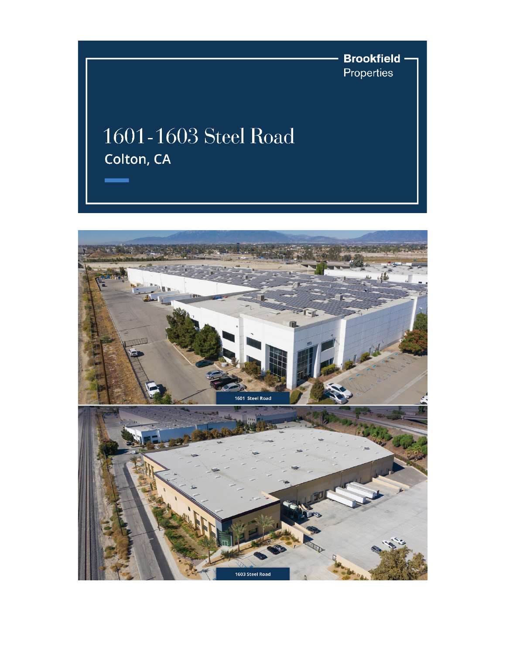

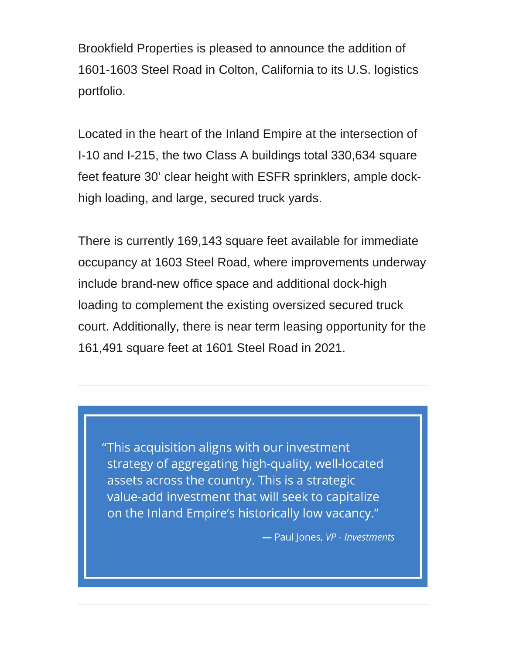Brookfield Properties is pleased to announce the addition of 1601-1603 Steel Road in Colton, California to its U.S. logistics portfolio.

Located in the heart of the Inland Empire at the intersection of I-10 and I-215, the two Class A buildings total 330,634 square feet feature 30' clear height with ESFR sprinklers, ample dockhigh loading, and large, secured truck yards.

There is currently 169,143 square feet available for immediate occupancy at 1603 Steel Road, where improvements underway include brand-new office space and additional dock-high loading to complement the existing oversized secured truck court. Additionally, there is near term leasing opportunity for the 161,491 square feet at 1601 Steel Road in 2021.

"This acquisition aligns with our investment strategy of aggregating high-quality, well-located assets across the country. This is a strategic value-add investment that will seek to capitalize on the Inland Empire's historically low vacancy."

- Paul Jones, VP - Investments